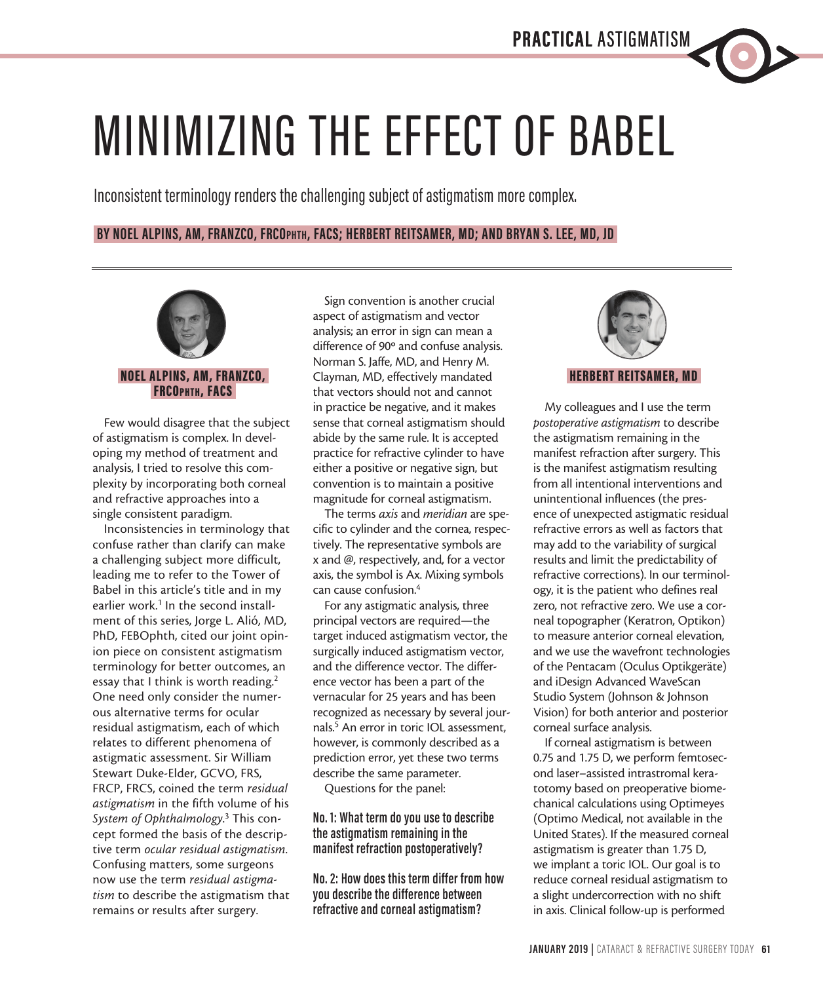

Inconsistent terminology renders the challenging subject of astigmatism more complex.

# **BY NOEL ALPINS, AM, FRANZCO, FRCOphth, FACS; HERBERT REITSAMER, MD; AND BRYAN S. LEE, MD, JD**



## NOEL ALPINS, AM, FRANZCO, FRCOphth, FACS

Few would disagree that the subject of astigmatism is complex. In developing my method of treatment and analysis, I tried to resolve this complexity by incorporating both corneal and refractive approaches into a single consistent paradigm.

Inconsistencies in terminology that confuse rather than clarify can make a challenging subject more difficult, leading me to refer to the Tower of Babel in this article's title and in my earlier work.<sup>1</sup> In the second installment of this series, Jorge L. Alió, MD, PhD, FEBOphth, cited our joint opinion piece on consistent astigmatism terminology for better outcomes, an essay that I think is worth reading.<sup>2</sup> One need only consider the numerous alternative terms for ocular residual astigmatism, each of which relates to different phenomena of astigmatic assessment. Sir William Stewart Duke-Elder, GCVO, FRS, FRCP, FRCS, coined the term *residual astigmatism* in the fifth volume of his *System of Ophthalmology*. 3 This concept formed the basis of the descriptive term *ocular residual astigmatism*. Confusing matters, some surgeons now use the term *residual astigmatism* to describe the astigmatism that remains or results after surgery.

Sign convention is another crucial aspect of astigmatism and vector analysis; an error in sign can mean a difference of 90º and confuse analysis. Norman S. Jaffe, MD, and Henry M. Clayman, MD, effectively mandated that vectors should not and cannot in practice be negative, and it makes sense that corneal astigmatism should abide by the same rule. It is accepted practice for refractive cylinder to have either a positive or negative sign, but convention is to maintain a positive magnitude for corneal astigmatism.

The terms *axis* and *meridian* are specific to cylinder and the cornea, respectively. The representative symbols are x and @, respectively, and, for a vector axis, the symbol is Ax. Mixing symbols can cause confusion.4

For any astigmatic analysis, three principal vectors are required—the target induced astigmatism vector, the surgically induced astigmatism vector, and the difference vector. The difference vector has been a part of the vernacular for 25 years and has been recognized as necessary by several journals.5 An error in toric IOL assessment, however, is commonly described as a prediction error, yet these two terms describe the same parameter.

Questions for the panel:

## **No. 1: What term do you use to describe the astigmatism remaining in the manifest refraction postoperatively?**

**No. 2: How does this term differ from how you describe the difference between refractive and corneal astigmatism?**



## HERBERT REITSAMER, MD

My colleagues and I use the term *postoperative astigmatism* to describe the astigmatism remaining in the manifest refraction after surgery. This is the manifest astigmatism resulting from all intentional interventions and unintentional influences (the presence of unexpected astigmatic residual refractive errors as well as factors that may add to the variability of surgical results and limit the predictability of refractive corrections). In our terminology, it is the patient who defines real zero, not refractive zero. We use a corneal topographer (Keratron, Optikon) to measure anterior corneal elevation, and we use the wavefront technologies of the Pentacam (Oculus Optikgeräte) and iDesign Advanced WaveScan Studio System (Johnson & Johnson Vision) for both anterior and posterior corneal surface analysis.

If corneal astigmatism is between 0.75 and 1.75 D, we perform femtosecond laser–assisted intrastromal keratotomy based on preoperative biomechanical calculations using Optimeyes (Optimo Medical, not available in the United States). If the measured corneal astigmatism is greater than 1.75 D, we implant a toric IOL. Our goal is to reduce corneal residual astigmatism to a slight undercorrection with no shift in axis. Clinical follow-up is performed